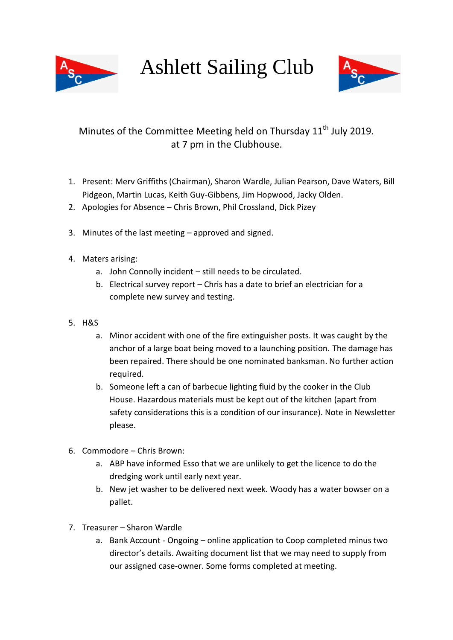

Ashlett Sailing Club



## Minutes of the Committee Meeting held on Thursday  $11<sup>th</sup>$  July 2019. at 7 pm in the Clubhouse.

- 1. Present: Merv Griffiths (Chairman), Sharon Wardle, Julian Pearson, Dave Waters, Bill Pidgeon, Martin Lucas, Keith Guy-Gibbens, Jim Hopwood, Jacky Olden.
- 2. Apologies for Absence Chris Brown, Phil Crossland, Dick Pizey
- 3. Minutes of the last meeting approved and signed.
- 4. Maters arising:
	- a. John Connolly incident still needs to be circulated.
	- b. Electrical survey report Chris has a date to brief an electrician for a complete new survey and testing.
- 5. H&S
	- a. Minor accident with one of the fire extinguisher posts. It was caught by the anchor of a large boat being moved to a launching position. The damage has been repaired. There should be one nominated banksman. No further action required.
	- b. Someone left a can of barbecue lighting fluid by the cooker in the Club House. Hazardous materials must be kept out of the kitchen (apart from safety considerations this is a condition of our insurance). Note in Newsletter please.
- 6. Commodore Chris Brown:
	- a. ABP have informed Esso that we are unlikely to get the licence to do the dredging work until early next year.
	- b. New jet washer to be delivered next week. Woody has a water bowser on a pallet.
- 7. Treasurer Sharon Wardle
	- a. Bank Account Ongoing online application to Coop completed minus two director's details. Awaiting document list that we may need to supply from our assigned case-owner. Some forms completed at meeting.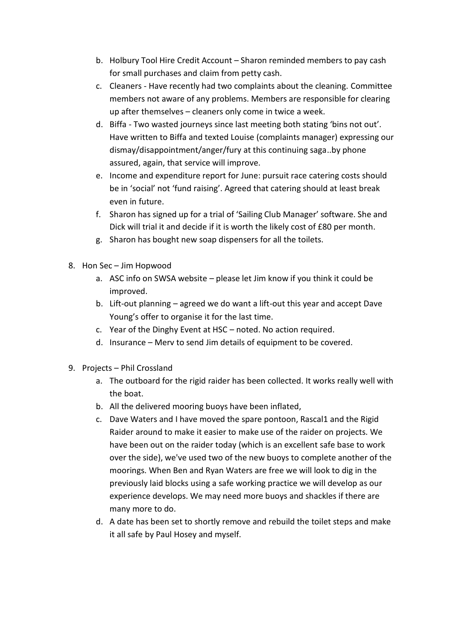- b. Holbury Tool Hire Credit Account Sharon reminded members to pay cash for small purchases and claim from petty cash.
- c. Cleaners Have recently had two complaints about the cleaning. Committee members not aware of any problems. Members are responsible for clearing up after themselves – cleaners only come in twice a week.
- d. Biffa Two wasted journeys since last meeting both stating 'bins not out'. Have written to Biffa and texted Louise (complaints manager) expressing our dismay/disappointment/anger/fury at this continuing saga..by phone assured, again, that service will improve.
- e. Income and expenditure report for June: pursuit race catering costs should be in 'social' not 'fund raising'. Agreed that catering should at least break even in future.
- f. Sharon has signed up for a trial of 'Sailing Club Manager' software. She and Dick will trial it and decide if it is worth the likely cost of £80 per month.
- g. Sharon has bought new soap dispensers for all the toilets.
- 8. Hon Sec Jim Hopwood
	- a. ASC info on SWSA website please let Jim know if you think it could be improved.
	- b. Lift-out planning agreed we do want a lift-out this year and accept Dave Young's offer to organise it for the last time.
	- c. Year of the Dinghy Event at HSC noted. No action required.
	- d. Insurance Merv to send Jim details of equipment to be covered.
- 9. Projects Phil Crossland
	- a. The outboard for the rigid raider has been collected. It works really well with the boat.
	- b. All the delivered mooring buoys have been inflated,
	- c. Dave Waters and I have moved the spare pontoon, Rascal1 and the Rigid Raider around to make it easier to make use of the raider on projects. We have been out on the raider today (which is an excellent safe base to work over the side), we've used two of the new buoys to complete another of the moorings. When Ben and Ryan Waters are free we will look to dig in the previously laid blocks using a safe working practice we will develop as our experience develops. We may need more buoys and shackles if there are many more to do.
	- d. A date has been set to shortly remove and rebuild the toilet steps and make it all safe by Paul Hosey and myself.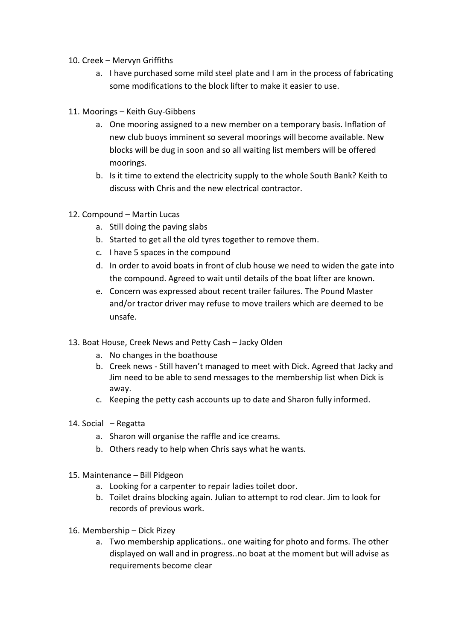- 10. Creek Mervyn Griffiths
	- a. I have purchased some mild steel plate and I am in the process of fabricating some modifications to the block lifter to make it easier to use.
- 11. Moorings Keith Guy-Gibbens
	- a. One mooring assigned to a new member on a temporary basis. Inflation of new club buoys imminent so several moorings will become available. New blocks will be dug in soon and so all waiting list members will be offered moorings.
	- b. Is it time to extend the electricity supply to the whole South Bank? Keith to discuss with Chris and the new electrical contractor.
- 12. Compound Martin Lucas
	- a. Still doing the paving slabs
	- b. Started to get all the old tyres together to remove them.
	- c. I have 5 spaces in the compound
	- d. In order to avoid boats in front of club house we need to widen the gate into the compound. Agreed to wait until details of the boat lifter are known.
	- e. Concern was expressed about recent trailer failures. The Pound Master and/or tractor driver may refuse to move trailers which are deemed to be unsafe.
- 13. Boat House, Creek News and Petty Cash Jacky Olden
	- a. No changes in the boathouse
	- b. Creek news Still haven't managed to meet with Dick. Agreed that Jacky and Jim need to be able to send messages to the membership list when Dick is away.
	- c. Keeping the petty cash accounts up to date and Sharon fully informed.
- 14. Social Regatta
	- a. Sharon will organise the raffle and ice creams.
	- b. Others ready to help when Chris says what he wants.
- 15. Maintenance Bill Pidgeon
	- a. Looking for a carpenter to repair ladies toilet door.
	- b. Toilet drains blocking again. Julian to attempt to rod clear. Jim to look for records of previous work.
- 16. Membership Dick Pizey
	- a. Two membership applications.. one waiting for photo and forms. The other displayed on wall and in progress..no boat at the moment but will advise as requirements become clear